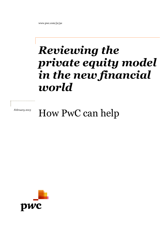www.pwc.com/je/pe

# *Reviewing the private equity mo model in the new financial world*

## *February 2013* How PwC can help

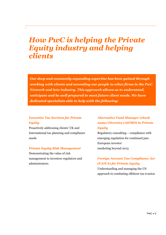### *How PwC is helping the Private Equity industry and helping clients*

*Our deep and constantly expanding expertise has been gained through working with clients and seconding our people to other firms in the PwC Network and into industry. This approach allows us to understand, anticipate and be well prepared to meet future client needs. We have dedicated specialists able to help with the following:*

#### *Executive Tax Services for Private Equity*

Proactively addressing clients' UK and International tax planning and compliance needs

#### *Private Equity Risk Management*

Demonstrating the value of risk management to investors regulators and administrators

#### *Alternative Fund Manager (check name) Directive (AIFMD) in Private Equity*

Regulatory consulting – compliance with emerging regulation for continued pan-European investor marketing beyond 2013

#### *Foreign Account Tax Compliance Act (FATCA) for Private Equity*

Understanding and managing the US approach to combating offshore tax evasion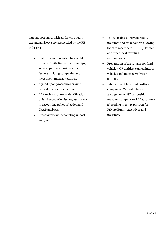Our support starts with all the core audit, tax and advisory services needed by the PE industry:

- Statutory and non-statutory audit of Private Equity limited partnerships, general partners, co-investors, feeders, holding companies and investment manager entities.
- Agreed upon procedures around carried interest calculations.
- LPA reviews for early identification of fund accounting issues, assistance in accounting policy selection and GAAP analysis.
- Process reviews, accounting impact analysis.
- Tax reporting to Private Equity investors and stakeholders allowing them to meet their UK, US, German and other local tax filing requirements.
- Preparation of tax returns for fund vehicles, GP entities, carried interest vehicles and manager/advisor entities.
- Interaction of fund and portfolio companies. Carried interest arrangements, GP tax position, manager company or LLP taxation – all feeding in to tax position for Private Equity executives and investors.